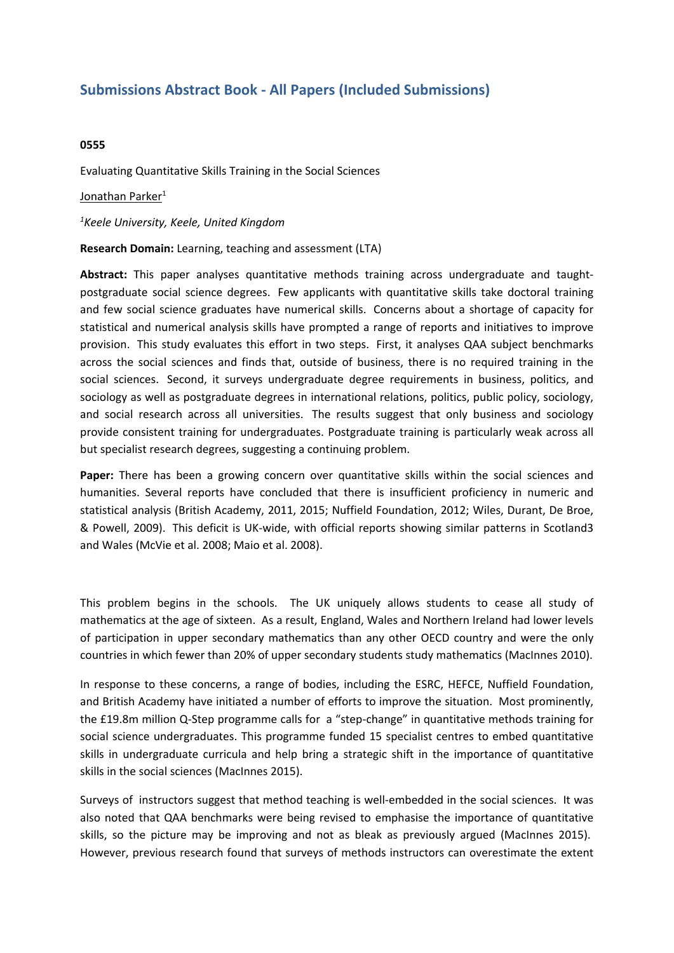## **Submissions Abstract Book - All Papers (Included Submissions)**

## **0555**

Evaluating Quantitative Skills Training in the Social Sciences

## Jonathan Parker<sup>1</sup>

*1 Keele University, Keele, United Kingdom*

**Research Domain:** Learning, teaching and assessment (LTA)

**Abstract:** This paper analyses quantitative methods training across undergraduate and taughtpostgraduate social science degrees. Few applicants with quantitative skills take doctoral training and few social science graduates have numerical skills. Concerns about <sup>a</sup> shortage of capacity for statistical and numerical analysis skills have prompted <sup>a</sup> range of reports and initiatives to improve provision. This study evaluates this effort in two steps. First, it analyses QAA subject benchmarks across the social sciences and finds that, outside of business, there is no required training in the social sciences. Second, it surveys undergraduate degree requirements in business, politics, and sociology as well as postgraduate degrees in international relations, politics, public policy, sociology, and social research across all universities. The results suggest that only business and sociology provide consistent training for undergraduates. Postgraduate training is particularly weak across all but specialist research degrees, suggesting <sup>a</sup> continuing problem.

**Paper:** There has been <sup>a</sup> growing concern over quantitative skills within the social sciences and humanities. Several reports have concluded that there is insufficient proficiency in numeric and statistical analysis (British Academy, 2011, 2015; Nuffield Foundation, 2012; Wiles, Durant, De Broe, & Powell, 2009). This deficit is UK-wide, with official reports showing similar patterns in Scotland3 and Wales (McVie et al. 2008; Maio et al. 2008).

This problem begins in the schools. The UK uniquely allows students to cease all study of mathematics at the age of sixteen. As <sup>a</sup> result, England, Wales and Northern Ireland had lower levels of participation in upper secondary mathematics than any other OECD country and were the only countries in which fewer than 20% of upper secondary students study mathematics (MacInnes 2010).

In response to these concerns, <sup>a</sup> range of bodies, including the ESRC, HEFCE, Nuffield Foundation, and British Academy have initiated <sup>a</sup> number of efforts to improve the situation. Most prominently, the £19.8m million Q-Step programme calls for a "step-change" in quantitative methods training for social science undergraduates. This programme funded 15 specialist centres to embed quantitative skills in undergraduate curricula and help bring <sup>a</sup> strategic shift in the importance of quantitative skills in the social sciences (MacInnes 2015).

Surveys of instructors suggest that method teaching is well-embedded in the social sciences. It was also noted that QAA benchmarks were being revised to emphasise the importance of quantitative skills, so the picture may be improving and not as bleak as previously argued (MacInnes 2015). However, previous research found that surveys of methods instructors can overestimate the extent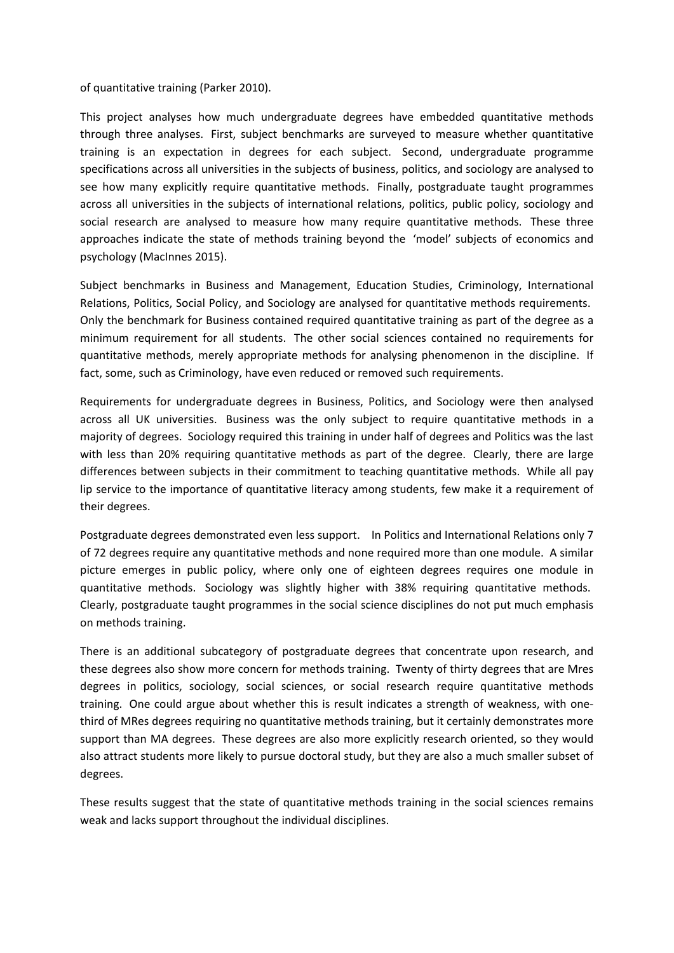of quantitative training (Parker 2010).

This project analyses how much undergraduate degrees have embedded quantitative methods through three analyses. First, subject benchmarks are surveyed to measure whether quantitative training is an expectation in degrees for each subject. Second, undergraduate programme specifications across all universities in the subjects of business, politics, and sociology are analysed to see how many explicitly require quantitative methods. Finally, postgraduate taught programmes across all universities in the subjects of international relations, politics, public policy, sociology and social research are analysed to measure how many require quantitative methods. These three approaches indicate the state of methods training beyond the 'model' subjects of economics and psychology (MacInnes 2015).

Subject benchmarks in Business and Management, Education Studies, Criminology, International Relations, Politics, Social Policy, and Sociology are analysed for quantitative methods requirements. Only the benchmark for Business contained required quantitative training as part of the degree as <sup>a</sup> minimum requirement for all students. The other social sciences contained no requirements for quantitative methods, merely appropriate methods for analysing phenomenon in the discipline. If fact, some, such as Criminology, have even reduced or removed such requirements.

Requirements for undergraduate degrees in Business, Politics, and Sociology were then analysed across all UK universities. Business was the only subject to require quantitative methods in <sup>a</sup> majority of degrees. Sociology required this training in under half of degrees and Politics was the last with less than 20% requiring quantitative methods as part of the degree. Clearly, there are large differences between subjects in their commitment to teaching quantitative methods. While all pay lip service to the importance of quantitative literacy among students, few make it <sup>a</sup> requirement of their degrees.

Postgraduate degrees demonstrated even less support. In Politics and International Relations only 7 of 72 degrees require any quantitative methods and none required more than one module. A similar picture emerges in public policy, where only one of eighteen degrees requires one module in quantitative methods. Sociology was slightly higher with 38% requiring quantitative methods. Clearly, postgraduate taught programmes in the social science disciplines do not put much emphasis on methods training.

There is an additional subcategory of postgraduate degrees that concentrate upon research, and these degrees also show more concern for methods training. Twenty of thirty degrees that are Mres degrees in politics, sociology, social sciences, or social research require quantitative methods training. One could argue about whether this is result indicates <sup>a</sup> strength of weakness, with onethird of MRes degrees requiring no quantitative methods training, but it certainly demonstrates more support than MA degrees. These degrees are also more explicitly research oriented, so they would also attract students more likely to pursue doctoral study, but they are also <sup>a</sup> much smaller subset of degrees.

These results suggest that the state of quantitative methods training in the social sciences remains weak and lacks support throughout the individual disciplines.